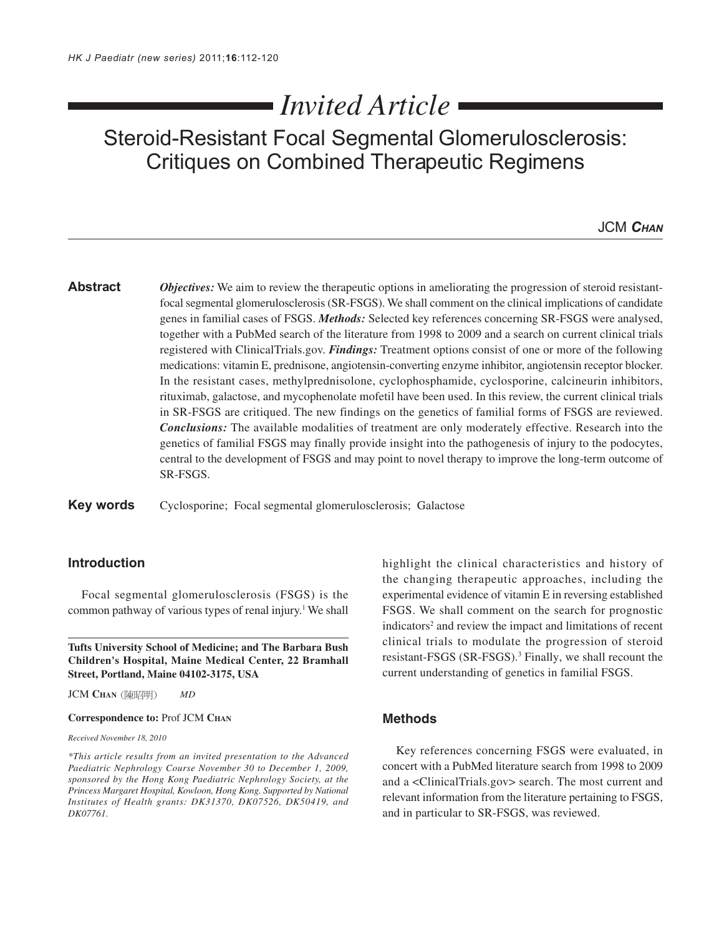# *Invited Article*

## Steroid-Resistant Focal Segmental Glomerulosclerosis: Critiques on Combined Therapeutic Regimens

JCM *CHAN*

**Abstract** *Objectives:* We aim to review the therapeutic options in ameliorating the progression of steroid resistantfocal segmental glomerulosclerosis (SR-FSGS). We shall comment on the clinical implications of candidate genes in familial cases of FSGS. *Methods:* Selected key references concerning SR-FSGS were analysed, together with a PubMed search of the literature from 1998 to 2009 and a search on current clinical trials registered with ClinicalTrials.gov. *Findings:* Treatment options consist of one or more of the following medications: vitamin E, prednisone, angiotensin-converting enzyme inhibitor, angiotensin receptor blocker. In the resistant cases, methylprednisolone, cyclophosphamide, cyclosporine, calcineurin inhibitors, rituximab, galactose, and mycophenolate mofetil have been used. In this review, the current clinical trials in SR-FSGS are critiqued. The new findings on the genetics of familial forms of FSGS are reviewed. *Conclusions:* The available modalities of treatment are only moderately effective. Research into the genetics of familial FSGS may finally provide insight into the pathogenesis of injury to the podocytes, central to the development of FSGS and may point to novel therapy to improve the long-term outcome of SR-FSGS.

**Key words** Cyclosporine; Focal segmental glomerulosclerosis; Galactose

## **Introduction**

Focal segmental glomerulosclerosis (FSGS) is the common pathway of various types of renal injury.<sup>1</sup> We shall

**Tufts University School of Medicine; and The Barbara Bush Children's Hospital, Maine Medical Center, 22 Bramhall Street, Portland, Maine 04102-3175, USA**

JCM **CHAN** *MD*

#### **Correspondence to:** Prof JCM **CHAN**

*Received November 18, 2010*

*\*This article results from an invited presentation to the Advanced Paediatric Nephrology Course November 30 to December 1, 2009, sponsored by the Hong Kong Paediatric Nephrology Society, at the Princess Margaret Hospital, Kowloon, Hong Kong. Supported by National Institutes of Health grants: DK31370, DK07526, DK50419, and DK07761.*

highlight the clinical characteristics and history of the changing therapeutic approaches, including the experimental evidence of vitamin E in reversing established FSGS. We shall comment on the search for prognostic indicators<sup>2</sup> and review the impact and limitations of recent clinical trials to modulate the progression of steroid resistant-FSGS (SR-FSGS).<sup>3</sup> Finally, we shall recount the current understanding of genetics in familial FSGS.

## **Methods**

Key references concerning FSGS were evaluated, in concert with a PubMed literature search from 1998 to 2009 and a <ClinicalTrials.gov> search. The most current and relevant information from the literature pertaining to FSGS, and in particular to SR-FSGS, was reviewed.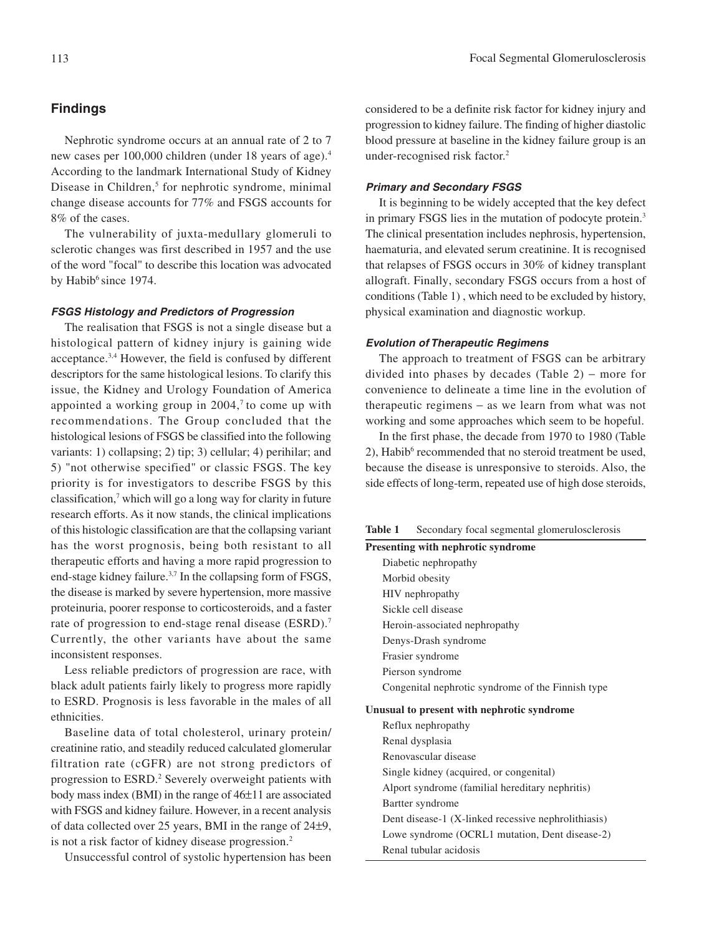Nephrotic syndrome occurs at an annual rate of 2 to 7 new cases per 100,000 children (under 18 years of age).4 According to the landmark International Study of Kidney Disease in Children,<sup>5</sup> for nephrotic syndrome, minimal change disease accounts for 77% and FSGS accounts for 8% of the cases.

The vulnerability of juxta-medullary glomeruli to sclerotic changes was first described in 1957 and the use of the word "focal" to describe this location was advocated by Habib<sup>6</sup> since 1974.

#### **FSGS Histology and Predictors of Progression**

The realisation that FSGS is not a single disease but a histological pattern of kidney injury is gaining wide acceptance.3,4 However, the field is confused by different descriptors for the same histological lesions. To clarify this issue, the Kidney and Urology Foundation of America appointed a working group in  $2004$ ,<sup> $7$ </sup> to come up with recommendations. The Group concluded that the histological lesions of FSGS be classified into the following variants: 1) collapsing; 2) tip; 3) cellular; 4) perihilar; and 5) "not otherwise specified" or classic FSGS. The key priority is for investigators to describe FSGS by this classification,<sup>7</sup> which will go a long way for clarity in future research efforts. As it now stands, the clinical implications of this histologic classification are that the collapsing variant has the worst prognosis, being both resistant to all therapeutic efforts and having a more rapid progression to end-stage kidney failure.<sup>3,7</sup> In the collapsing form of FSGS, the disease is marked by severe hypertension, more massive proteinuria, poorer response to corticosteroids, and a faster rate of progression to end-stage renal disease (ESRD).<sup>7</sup> Currently, the other variants have about the same inconsistent responses.

Less reliable predictors of progression are race, with black adult patients fairly likely to progress more rapidly to ESRD. Prognosis is less favorable in the males of all ethnicities.

Baseline data of total cholesterol, urinary protein/ creatinine ratio, and steadily reduced calculated glomerular filtration rate (cGFR) are not strong predictors of progression to ESRD.<sup>2</sup> Severely overweight patients with body mass index (BMI) in the range of 46±11 are associated with FSGS and kidney failure. However, in a recent analysis of data collected over 25 years, BMI in the range of 24±9, is not a risk factor of kidney disease progression.2

Unsuccessful control of systolic hypertension has been

considered to be a definite risk factor for kidney injury and progression to kidney failure. The finding of higher diastolic blood pressure at baseline in the kidney failure group is an under-recognised risk factor.2

#### **Primary and Secondary FSGS**

It is beginning to be widely accepted that the key defect in primary FSGS lies in the mutation of podocyte protein.3 The clinical presentation includes nephrosis, hypertension, haematuria, and elevated serum creatinine. It is recognised that relapses of FSGS occurs in 30% of kidney transplant allograft. Finally, secondary FSGS occurs from a host of conditions (Table 1) , which need to be excluded by history, physical examination and diagnostic workup.

#### **Evolution of Therapeutic Regimens**

The approach to treatment of FSGS can be arbitrary divided into phases by decades (Table 2) − more for convenience to delineate a time line in the evolution of therapeutic regimens − as we learn from what was not working and some approaches which seem to be hopeful.

In the first phase, the decade from 1970 to 1980 (Table 2), Habib<sup>6</sup> recommended that no steroid treatment be used, because the disease is unresponsive to steroids. Also, the side effects of long-term, repeated use of high dose steroids,

| Table 1 |  |  | Secondary focal segmental glomerulosclerosis |
|---------|--|--|----------------------------------------------|
|---------|--|--|----------------------------------------------|

| <b>Presenting with nephrotic syndrome</b>         |
|---------------------------------------------------|
| Diabetic nephropathy                              |
| Morbid obesity                                    |
| HIV nephropathy                                   |
| Sickle cell disease                               |
| Heroin-associated nephropathy                     |
| Denys-Drash syndrome                              |
| Frasier syndrome                                  |
| Pierson syndrome                                  |
| Congenital nephrotic syndrome of the Finnish type |
|                                                   |

#### **Unusual to present with nephrotic syndrome**

Reflux nephropathy Renal dysplasia Renovascular disease Single kidney (acquired, or congenital) Alport syndrome (familial hereditary nephritis) Bartter syndrome Dent disease-1 (X-linked recessive nephrolithiasis) Lowe syndrome (OCRL1 mutation, Dent disease-2) Renal tubular acidosis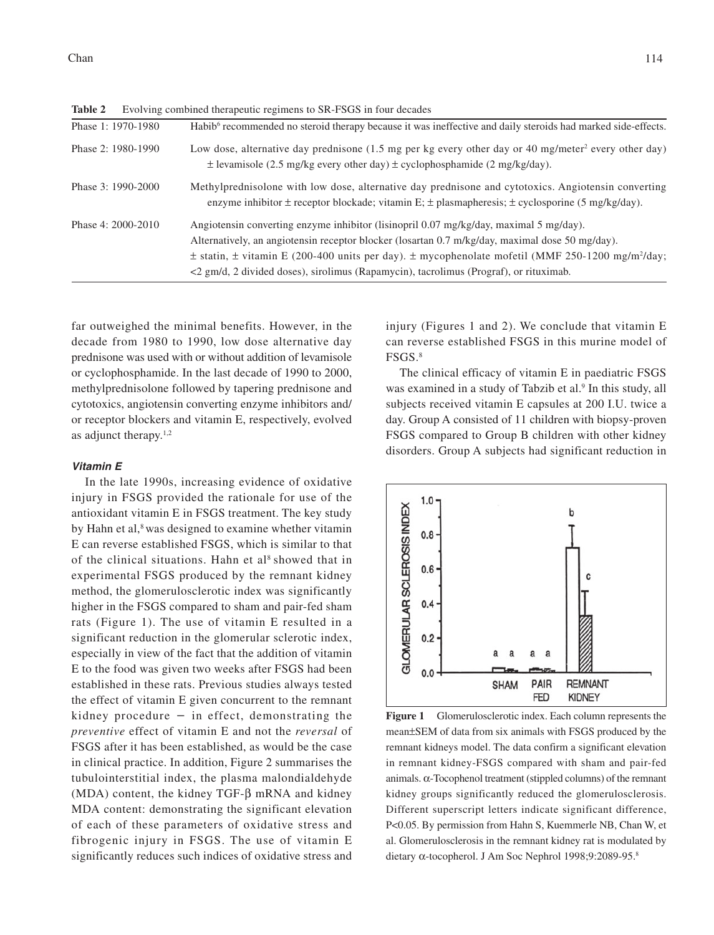| Phase 1: 1970-1980 | Habib <sup>6</sup> recommended no steroid therapy because it was ineffective and daily steroids had marked side-effects.                                                                                                                                                                                                                                                                                                  |
|--------------------|---------------------------------------------------------------------------------------------------------------------------------------------------------------------------------------------------------------------------------------------------------------------------------------------------------------------------------------------------------------------------------------------------------------------------|
| Phase 2: 1980-1990 | Low dose, alternative day prednisone (1.5 mg per kg every other day or 40 mg/meter <sup>2</sup> every other day)<br>$\pm$ levamisole (2.5 mg/kg every other day) $\pm$ cyclophosphamide (2 mg/kg/day).                                                                                                                                                                                                                    |
| Phase 3: 1990-2000 | Methylprednisolone with low dose, alternative day prednisone and cytotoxics. Angiotensin converting<br>enzyme inhibitor ± receptor blockade; vitamin E; ± plasmapheresis; ± cyclosporine (5 mg/kg/day).                                                                                                                                                                                                                   |
| Phase 4: 2000-2010 | Angiotensin converting enzyme inhibitor (lisinopril $0.07 \text{ mg/kg/day}$ , maximal 5 mg/day).<br>Alternatively, an angiotensin receptor blocker (losartan 0.7 m/kg/day, maximal dose 50 mg/day).<br>$\pm$ statin, $\pm$ vitamin E (200-400 units per day). $\pm$ mycophenolate mofetil (MMF 250-1200 mg/m <sup>2</sup> /day;<br><2 gm/d, 2 divided doses), sirolimus (Rapamycin), tacrolimus (Prograf), or rituximab. |

Table 2 Evolving combined therapeutic regimens to SR-FSGS in four decades

far outweighed the minimal benefits. However, in the decade from 1980 to 1990, low dose alternative day prednisone was used with or without addition of levamisole or cyclophosphamide. In the last decade of 1990 to 2000, methylprednisolone followed by tapering prednisone and cytotoxics, angiotensin converting enzyme inhibitors and/ or receptor blockers and vitamin E, respectively, evolved as adjunct therapy.1,2

#### **Vitamin E**

In the late 1990s, increasing evidence of oxidative injury in FSGS provided the rationale for use of the antioxidant vitamin E in FSGS treatment. The key study by Hahn et al,<sup>8</sup> was designed to examine whether vitamin E can reverse established FSGS, which is similar to that of the clinical situations. Hahn et  $al<sup>8</sup>$  showed that in experimental FSGS produced by the remnant kidney method, the glomerulosclerotic index was significantly higher in the FSGS compared to sham and pair-fed sham rats (Figure 1). The use of vitamin E resulted in a significant reduction in the glomerular sclerotic index, especially in view of the fact that the addition of vitamin E to the food was given two weeks after FSGS had been established in these rats. Previous studies always tested the effect of vitamin E given concurrent to the remnant kidney procedure  $-$  in effect, demonstrating the *preventive* effect of vitamin E and not the *reversal* of FSGS after it has been established, as would be the case in clinical practice. In addition, Figure 2 summarises the tubulointerstitial index, the plasma malondialdehyde (MDA) content, the kidney TGF-β mRNA and kidney MDA content: demonstrating the significant elevation of each of these parameters of oxidative stress and fibrogenic injury in FSGS. The use of vitamin E significantly reduces such indices of oxidative stress and

injury (Figures 1 and 2). We conclude that vitamin E can reverse established FSGS in this murine model of FSGS.8

The clinical efficacy of vitamin E in paediatric FSGS was examined in a study of Tabzib et al.<sup>9</sup> In this study, all subjects received vitamin E capsules at 200 I.U. twice a day. Group A consisted of 11 children with biopsy-proven FSGS compared to Group B children with other kidney disorders. Group A subjects had significant reduction in



**Figure 1** Glomerulosclerotic index. Each column represents the mean±SEM of data from six animals with FSGS produced by the remnant kidneys model. The data confirm a significant elevation in remnant kidney-FSGS compared with sham and pair-fed animals. α-Tocophenol treatment (stippled columns) of the remnant kidney groups significantly reduced the glomerulosclerosis. Different superscript letters indicate significant difference, P<0.05. By permission from Hahn S, Kuemmerle NB, Chan W, et al. Glomerulosclerosis in the remnant kidney rat is modulated by dietary α-tocopherol. J Am Soc Nephrol 1998;9:2089-95.8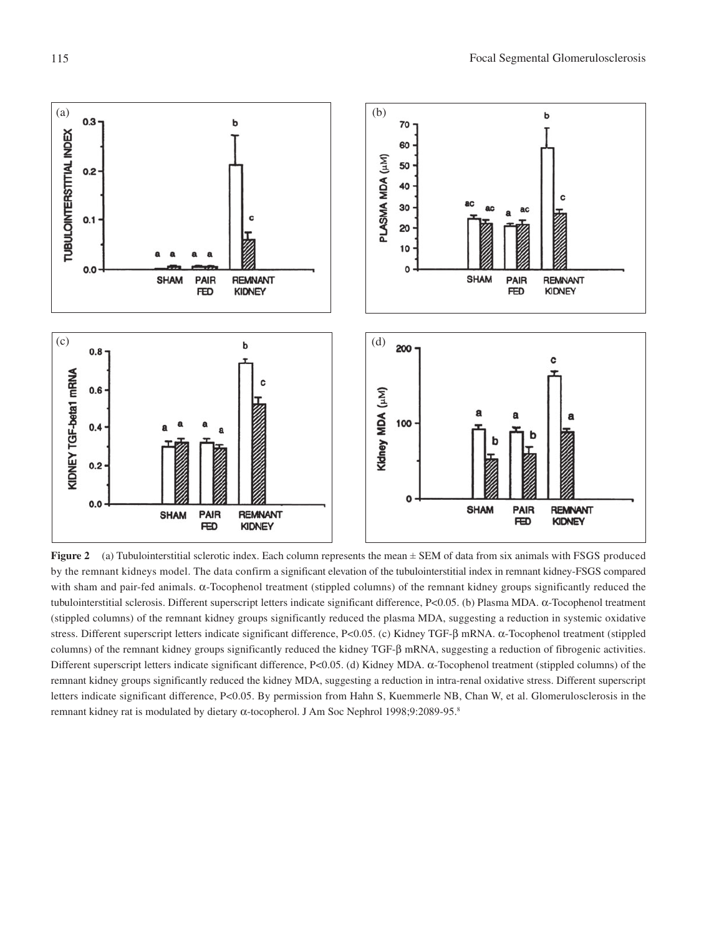

**Figure 2** (a) Tubulointerstitial sclerotic index. Each column represents the mean  $\pm$  SEM of data from six animals with FSGS produced by the remnant kidneys model. The data confirm a significant elevation of the tubulointerstitial index in remnant kidney-FSGS compared with sham and pair-fed animals. α-Tocophenol treatment (stippled columns) of the remnant kidney groups significantly reduced the tubulointerstitial sclerosis. Different superscript letters indicate significant difference, P<0.05. (b) Plasma MDA. α-Tocophenol treatment (stippled columns) of the remnant kidney groups significantly reduced the plasma MDA, suggesting a reduction in systemic oxidative stress. Different superscript letters indicate significant difference, P<0.05. (c) Kidney TGF-β mRNA. α-Tocophenol treatment (stippled columns) of the remnant kidney groups significantly reduced the kidney TGF-β mRNA, suggesting a reduction of fibrogenic activities. Different superscript letters indicate significant difference, P<0.05. (d) Kidney MDA. α-Tocophenol treatment (stippled columns) of the remnant kidney groups significantly reduced the kidney MDA, suggesting a reduction in intra-renal oxidative stress. Different superscript letters indicate significant difference, P<0.05. By permission from Hahn S, Kuemmerle NB, Chan W, et al. Glomerulosclerosis in the remnant kidney rat is modulated by dietary α-tocopherol. J Am Soc Nephrol 1998;9:2089-95.8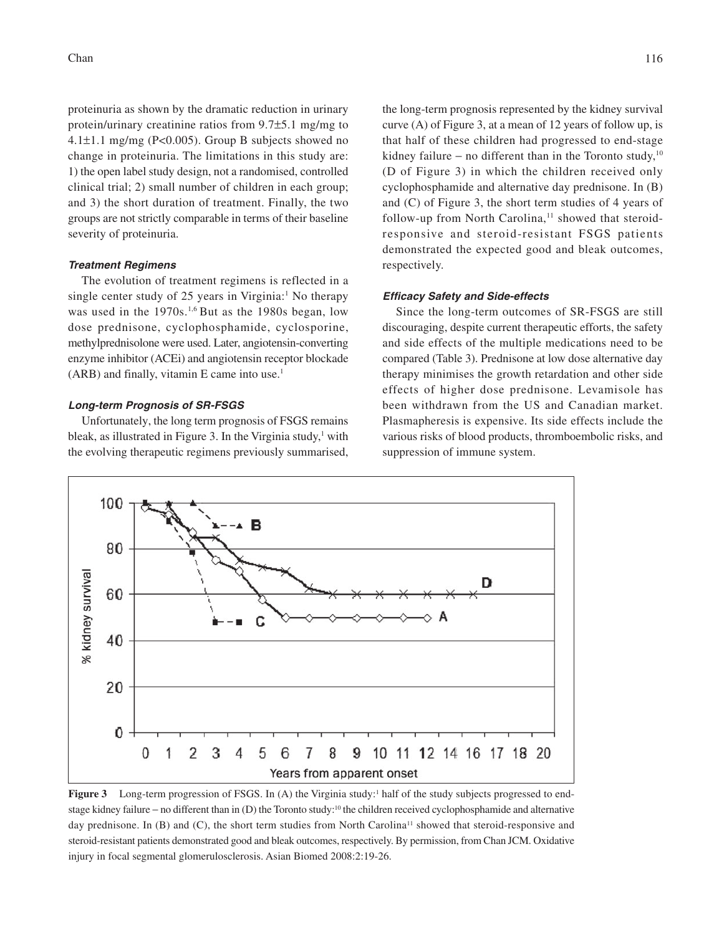proteinuria as shown by the dramatic reduction in urinary protein/urinary creatinine ratios from 9.7±5.1 mg/mg to 4.1 $\pm$ 1.1 mg/mg (P<0.005). Group B subjects showed no change in proteinuria. The limitations in this study are: 1) the open label study design, not a randomised, controlled clinical trial; 2) small number of children in each group; and 3) the short duration of treatment. Finally, the two groups are not strictly comparable in terms of their baseline severity of proteinuria.

#### **Treatment Regimens**

The evolution of treatment regimens is reflected in a single center study of 25 years in Virginia:<sup>1</sup> No therapy was used in the 1970s.<sup>1,6</sup> But as the 1980s began, low dose prednisone, cyclophosphamide, cyclosporine, methylprednisolone were used. Later, angiotensin-converting enzyme inhibitor (ACEi) and angiotensin receptor blockade (ARB) and finally, vitamin E came into use.1

#### **Long-term Prognosis of SR-FSGS**

Unfortunately, the long term prognosis of FSGS remains bleak, as illustrated in Figure 3. In the Virginia study,<sup>1</sup> with the evolving therapeutic regimens previously summarised, the long-term prognosis represented by the kidney survival curve (A) of Figure 3, at a mean of 12 years of follow up, is that half of these children had progressed to end-stage kidney failure – no different than in the Toronto study,<sup>10</sup> (D of Figure 3) in which the children received only cyclophosphamide and alternative day prednisone. In (B) and (C) of Figure 3, the short term studies of 4 years of follow-up from North Carolina,<sup>11</sup> showed that steroidresponsive and steroid-resistant FSGS patients demonstrated the expected good and bleak outcomes, respectively.

#### **Efficacy Safety and Side-effects**

Since the long-term outcomes of SR-FSGS are still discouraging, despite current therapeutic efforts, the safety and side effects of the multiple medications need to be compared (Table 3). Prednisone at low dose alternative day therapy minimises the growth retardation and other side effects of higher dose prednisone. Levamisole has been withdrawn from the US and Canadian market. Plasmapheresis is expensive. Its side effects include the various risks of blood products, thromboembolic risks, and suppression of immune system.



**Figure 3** Long-term progression of FSGS. In (A) the Virginia study:<sup>1</sup> half of the study subjects progressed to endstage kidney failure – no different than in (D) the Toronto study:<sup>10</sup> the children received cyclophosphamide and alternative day prednisone. In (B) and (C), the short term studies from North Carolina<sup>11</sup> showed that steroid-responsive and steroid-resistant patients demonstrated good and bleak outcomes, respectively. By permission, from Chan JCM. Oxidative injury in focal segmental glomerulosclerosis. Asian Biomed 2008:2:19-26.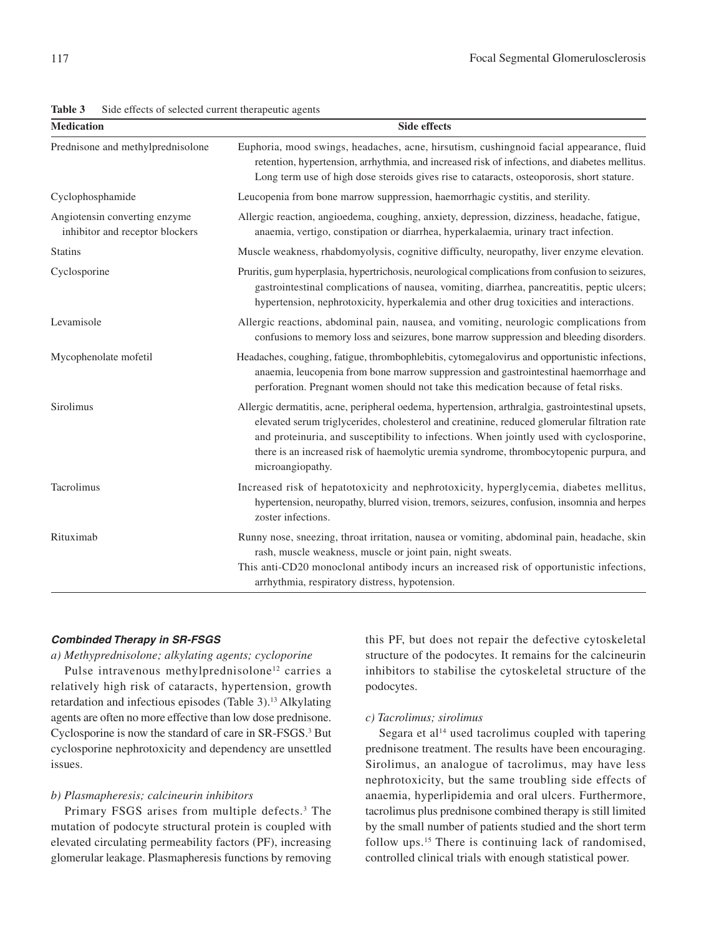| Table 3 |  |  |  |  | Side effects of selected current therapeutic agents |  |
|---------|--|--|--|--|-----------------------------------------------------|--|
|---------|--|--|--|--|-----------------------------------------------------|--|

**Medication** Side effects

|                                                                  | retention, hypertension, arrhythmia, and increased risk of infections, and diabetes mellitus.<br>Long term use of high dose steroids gives rise to cataracts, osteoporosis, short stature.                                                                                                                                                                                                                 |  |
|------------------------------------------------------------------|------------------------------------------------------------------------------------------------------------------------------------------------------------------------------------------------------------------------------------------------------------------------------------------------------------------------------------------------------------------------------------------------------------|--|
| Cyclophosphamide                                                 | Leucopenia from bone marrow suppression, haemorrhagic cystitis, and sterility.                                                                                                                                                                                                                                                                                                                             |  |
| Angiotensin converting enzyme<br>inhibitor and receptor blockers | Allergic reaction, angioedema, coughing, anxiety, depression, dizziness, headache, fatigue,<br>anaemia, vertigo, constipation or diarrhea, hyperkalaemia, urinary tract infection.                                                                                                                                                                                                                         |  |
| <b>Statins</b>                                                   | Muscle weakness, rhabdomyolysis, cognitive difficulty, neuropathy, liver enzyme elevation.                                                                                                                                                                                                                                                                                                                 |  |
| Cyclosporine                                                     | Pruritis, gum hyperplasia, hypertrichosis, neurological complications from confusion to seizures,<br>gastrointestinal complications of nausea, vomiting, diarrhea, pancreatitis, peptic ulcers;<br>hypertension, nephrotoxicity, hyperkalemia and other drug toxicities and interactions.                                                                                                                  |  |
| Levamisole                                                       | Allergic reactions, abdominal pain, nausea, and vomiting, neurologic complications from<br>confusions to memory loss and seizures, bone marrow suppression and bleeding disorders.                                                                                                                                                                                                                         |  |
| Mycophenolate mofetil                                            | Headaches, coughing, fatigue, thrombophlebitis, cytomegalovirus and opportunistic infections,<br>anaemia, leucopenia from bone marrow suppression and gastrointestinal haemorrhage and<br>perforation. Pregnant women should not take this medication because of fetal risks.                                                                                                                              |  |
| Sirolimus                                                        | Allergic dermatitis, acne, peripheral oedema, hypertension, arthralgia, gastrointestinal upsets,<br>elevated serum triglycerides, cholesterol and creatinine, reduced glomerular filtration rate<br>and proteinuria, and susceptibility to infections. When jointly used with cyclosporine,<br>there is an increased risk of haemolytic uremia syndrome, thrombocytopenic purpura, and<br>microangiopathy. |  |
| Tacrolimus                                                       | Increased risk of hepatotoxicity and nephrotoxicity, hyperglycemia, diabetes mellitus,<br>hypertension, neuropathy, blurred vision, tremors, seizures, confusion, insomnia and herpes<br>zoster infections.                                                                                                                                                                                                |  |
| Rituximab                                                        | Runny nose, sneezing, throat irritation, nausea or vomiting, abdominal pain, headache, skin                                                                                                                                                                                                                                                                                                                |  |

Prednisone and methylprednisolone Euphoria, mood swings, headaches, acne, hirsutism, cushingnoid facial appearance, fluid

This anti-CD20 monoclonal antibody incurs an increased risk of opportunistic infections, arrhythmia, respiratory distress, hypotension.

rash, muscle weakness, muscle or joint pain, night sweats.

#### **Combinded Therapy in SR-FSGS**

#### *a) Methyprednisolone; alkylating agents; cycloporine*

Pulse intravenous methylprednisolone<sup>12</sup> carries a relatively high risk of cataracts, hypertension, growth retardation and infectious episodes (Table 3).13 Alkylating agents are often no more effective than low dose prednisone. Cyclosporine is now the standard of care in SR-FSGS.<sup>3</sup> But cyclosporine nephrotoxicity and dependency are unsettled issues.

### *b) Plasmapheresis; calcineurin inhibitors*

Primary FSGS arises from multiple defects.<sup>3</sup> The mutation of podocyte structural protein is coupled with elevated circulating permeability factors (PF), increasing glomerular leakage. Plasmapheresis functions by removing this PF, but does not repair the defective cytoskeletal structure of the podocytes. It remains for the calcineurin inhibitors to stabilise the cytoskeletal structure of the podocytes.

#### *c) Tacrolimus; sirolimus*

Segara et al<sup>14</sup> used tacrolimus coupled with tapering prednisone treatment. The results have been encouraging. Sirolimus, an analogue of tacrolimus, may have less nephrotoxicity, but the same troubling side effects of anaemia, hyperlipidemia and oral ulcers. Furthermore, tacrolimus plus prednisone combined therapy is still limited by the small number of patients studied and the short term follow ups.15 There is continuing lack of randomised, controlled clinical trials with enough statistical power.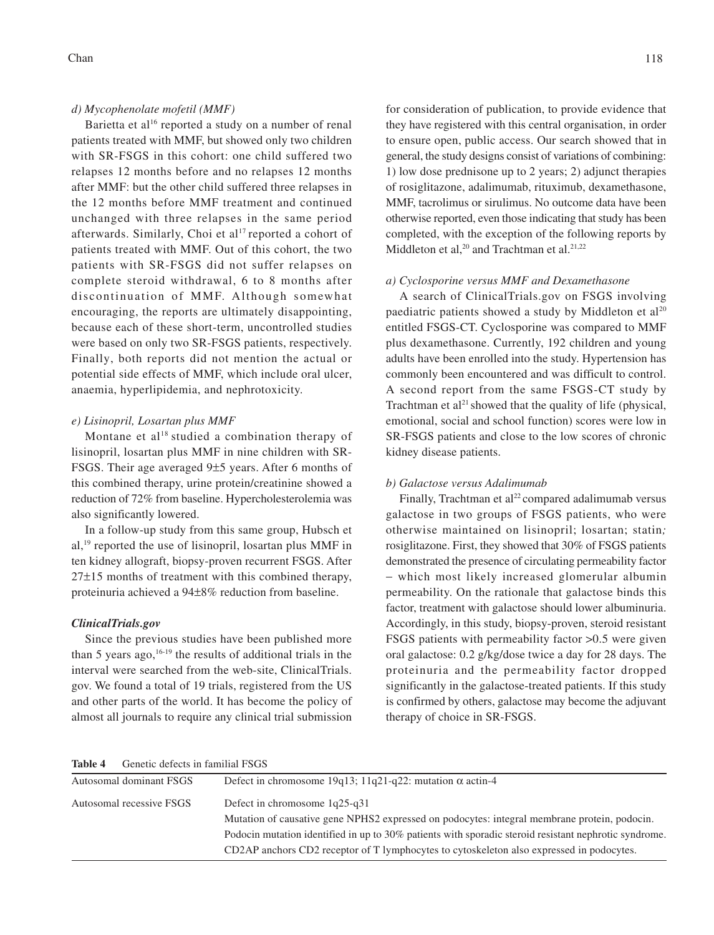#### *d) Mycophenolate mofetil (MMF)*

Barietta et al<sup>16</sup> reported a study on a number of renal patients treated with MMF, but showed only two children with SR-FSGS in this cohort: one child suffered two relapses 12 months before and no relapses 12 months after MMF: but the other child suffered three relapses in the 12 months before MMF treatment and continued unchanged with three relapses in the same period afterwards. Similarly, Choi et al<sup>17</sup> reported a cohort of patients treated with MMF. Out of this cohort, the two patients with SR-FSGS did not suffer relapses on complete steroid withdrawal, 6 to 8 months after discontinuation of MMF. Although somewhat encouraging, the reports are ultimately disappointing, because each of these short-term, uncontrolled studies were based on only two SR-FSGS patients, respectively. Finally, both reports did not mention the actual or potential side effects of MMF, which include oral ulcer, anaemia, hyperlipidemia, and nephrotoxicity.

## *e) Lisinopril, Losartan plus MMF*

Montane et al<sup>18</sup> studied a combination therapy of lisinopril, losartan plus MMF in nine children with SR-FSGS. Their age averaged 9±5 years. After 6 months of this combined therapy, urine protein/creatinine showed a reduction of 72% from baseline. Hypercholesterolemia was also significantly lowered.

In a follow-up study from this same group, Hubsch et al,19 reported the use of lisinopril, losartan plus MMF in ten kidney allograft, biopsy-proven recurrent FSGS. After 27±15 months of treatment with this combined therapy, proteinuria achieved a 94±8% reduction from baseline.

#### *ClinicalTrials.gov*

Since the previous studies have been published more than 5 years ago,  $16-19$  the results of additional trials in the interval were searched from the web-site, ClinicalTrials. gov. We found a total of 19 trials, registered from the US and other parts of the world. It has become the policy of almost all journals to require any clinical trial submission

for consideration of publication, to provide evidence that they have registered with this central organisation, in order to ensure open, public access. Our search showed that in general, the study designs consist of variations of combining: 1) low dose prednisone up to 2 years; 2) adjunct therapies of rosiglitazone, adalimumab, rituximub, dexamethasone, MMF, tacrolimus or sirulimus. No outcome data have been otherwise reported, even those indicating that study has been completed, with the exception of the following reports by Middleton et al,<sup>20</sup> and Trachtman et al.<sup>21,22</sup>

## *a) Cyclosporine versus MMF and Dexamethasone*

A search of ClinicalTrials.gov on FSGS involving paediatric patients showed a study by Middleton et al<sup>20</sup> entitled FSGS-CT. Cyclosporine was compared to MMF plus dexamethasone. Currently, 192 children and young adults have been enrolled into the study. Hypertension has commonly been encountered and was difficult to control. A second report from the same FSGS-CT study by Trachtman et  $al<sup>21</sup>$  showed that the quality of life (physical, emotional, social and school function) scores were low in SR-FSGS patients and close to the low scores of chronic kidney disease patients.

## *b) Galactose versus Adalimumab*

Finally, Trachtman et al<sup>22</sup> compared adalimumab versus galactose in two groups of FSGS patients, who were otherwise maintained on lisinopril; losartan; statin*;* rosiglitazone. First, they showed that 30% of FSGS patients demonstrated the presence of circulating permeability factor − which most likely increased glomerular albumin permeability. On the rationale that galactose binds this factor, treatment with galactose should lower albuminuria. Accordingly, in this study, biopsy-proven, steroid resistant FSGS patients with permeability factor >0.5 were given oral galactose: 0.2 g/kg/dose twice a day for 28 days. The proteinuria and the permeability factor dropped significantly in the galactose-treated patients. If this study is confirmed by others, galactose may become the adjuvant therapy of choice in SR-FSGS.

**Table 4** Genetic defects in familial FSGS

| AMMAN I<br>$\sigma$      |                                                                                                       |
|--------------------------|-------------------------------------------------------------------------------------------------------|
| Autosomal dominant FSGS  | Defect in chromosome 19q13; 11q21-q22: mutation $\alpha$ actin-4                                      |
| Autosomal recessive FSGS | Defect in chromosome 1q25-q31                                                                         |
|                          | Mutation of causative gene NPHS2 expressed on podocytes: integral membrane protein, podocin.          |
|                          | Podocin mutation identified in up to 30% patients with sporadic steroid resistant nephrotic syndrome. |
|                          | CD2AP anchors CD2 receptor of T lymphocytes to cytoskeleton also expressed in podocytes.              |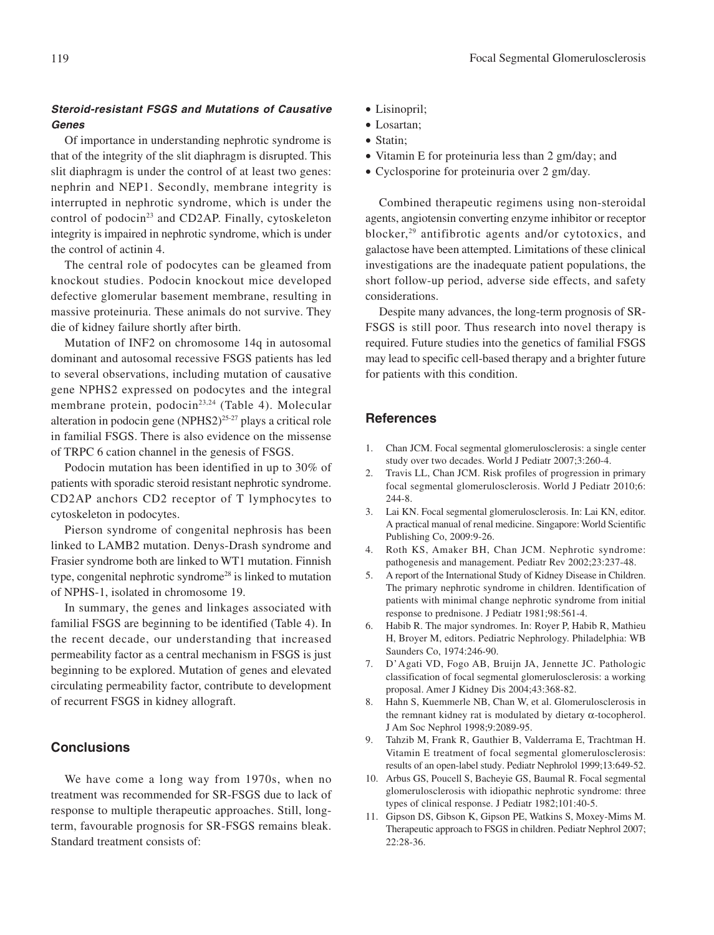## **Steroid-resistant FSGS and Mutations of Causative Genes**

Of importance in understanding nephrotic syndrome is that of the integrity of the slit diaphragm is disrupted. This slit diaphragm is under the control of at least two genes: nephrin and NEP1. Secondly, membrane integrity is interrupted in nephrotic syndrome, which is under the control of podocin<sup>23</sup> and CD2AP. Finally, cytoskeleton integrity is impaired in nephrotic syndrome, which is under the control of actinin 4.

The central role of podocytes can be gleamed from knockout studies. Podocin knockout mice developed defective glomerular basement membrane, resulting in massive proteinuria. These animals do not survive. They die of kidney failure shortly after birth.

Mutation of INF2 on chromosome 14q in autosomal dominant and autosomal recessive FSGS patients has led to several observations, including mutation of causative gene NPHS2 expressed on podocytes and the integral membrane protein, podocin<sup>23,24</sup> (Table 4). Molecular alteration in podocin gene (NPHS2)25-27 plays a critical role in familial FSGS. There is also evidence on the missense of TRPC 6 cation channel in the genesis of FSGS.

Podocin mutation has been identified in up to 30% of patients with sporadic steroid resistant nephrotic syndrome. CD2AP anchors CD2 receptor of T lymphocytes to cytoskeleton in podocytes.

Pierson syndrome of congenital nephrosis has been linked to LAMB2 mutation. Denys-Drash syndrome and Frasier syndrome both are linked to WT1 mutation. Finnish type, congenital nephrotic syndrome28 is linked to mutation of NPHS-1, isolated in chromosome 19.

In summary, the genes and linkages associated with familial FSGS are beginning to be identified (Table 4). In the recent decade, our understanding that increased permeability factor as a central mechanism in FSGS is just beginning to be explored. Mutation of genes and elevated circulating permeability factor, contribute to development of recurrent FSGS in kidney allograft.

## **Conclusions**

We have come a long way from 1970s, when no treatment was recommended for SR-FSGS due to lack of response to multiple therapeutic approaches. Still, longterm, favourable prognosis for SR-FSGS remains bleak. Standard treatment consists of:

- Lisinopril;
- Losartan;
- Statin;
- Vitamin E for proteinuria less than 2 gm/day; and
- Cyclosporine for proteinuria over 2 gm/day.

Combined therapeutic regimens using non-steroidal agents, angiotensin converting enzyme inhibitor or receptor blocker,29 antifibrotic agents and/or cytotoxics, and galactose have been attempted. Limitations of these clinical investigations are the inadequate patient populations, the short follow-up period, adverse side effects, and safety considerations.

Despite many advances, the long-term prognosis of SR-FSGS is still poor. Thus research into novel therapy is required. Future studies into the genetics of familial FSGS may lead to specific cell-based therapy and a brighter future for patients with this condition.

#### **References**

- 1. Chan JCM. Focal segmental glomerulosclerosis: a single center study over two decades. World J Pediatr 2007;3:260-4.
- 2. Travis LL, Chan JCM. Risk profiles of progression in primary focal segmental glomerulosclerosis. World J Pediatr 2010;6: 244-8.
- 3. Lai KN. Focal segmental glomerulosclerosis. In: Lai KN, editor. A practical manual of renal medicine. Singapore: World Scientific Publishing Co, 2009:9-26.
- 4. Roth KS, Amaker BH, Chan JCM. Nephrotic syndrome: pathogenesis and management. Pediatr Rev 2002;23:237-48.
- 5. A report of the International Study of Kidney Disease in Children. The primary nephrotic syndrome in children. Identification of patients with minimal change nephrotic syndrome from initial response to prednisone. J Pediatr 1981;98:561-4.
- 6. Habib R. The major syndromes. In: Royer P, Habib R, Mathieu H, Broyer M, editors. Pediatric Nephrology. Philadelphia: WB Saunders Co, 1974:246-90.
- 7. D'Agati VD, Fogo AB, Bruijn JA, Jennette JC. Pathologic classification of focal segmental glomerulosclerosis: a working proposal. Amer J Kidney Dis 2004;43:368-82.
- 8. Hahn S, Kuemmerle NB, Chan W, et al. Glomerulosclerosis in the remnant kidney rat is modulated by dietary α-tocopherol. J Am Soc Nephrol 1998;9:2089-95.
- 9. Tahzib M, Frank R, Gauthier B, Valderrama E, Trachtman H. Vitamin E treatment of focal segmental glomerulosclerosis: results of an open-label study. Pediatr Nephrolol 1999;13:649-52.
- 10. Arbus GS, Poucell S, Bacheyie GS, Baumal R. Focal segmental glomerulosclerosis with idiopathic nephrotic syndrome: three types of clinical response. J Pediatr 1982;101:40-5.
- 11. Gipson DS, Gibson K, Gipson PE, Watkins S, Moxey-Mims M. Therapeutic approach to FSGS in children. Pediatr Nephrol 2007; 22:28-36.